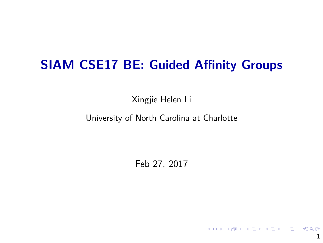## SIAM CSE17 BE: Guided Affinity Groups

Xingjie Helen Li

University of North Carolina at Charlotte

Feb 27, 2017

1

K ロ ▶ K @ ▶ K 할 ▶ K 할 ▶ → 할 → 9 Q @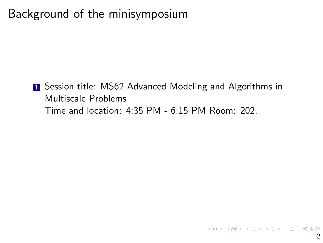# Background of the minisymposium

**1** Session title: MS62 Advanced Modeling and Algorithms in Multiscale Problems Time and location: 4:35 PM - 6:15 PM Room: 202.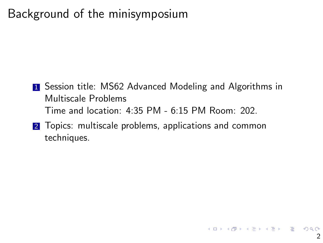# Background of the minisymposium

- **1** Session title: MS62 Advanced Modeling and Algorithms in Multiscale Problems Time and location: 4:35 PM - 6:15 PM Room: 202.
- 2 Topics: multiscale problems, applications and common techniques.

K ロ ▶ K @ ▶ K 할 ▶ K 할 ▶ ( 할 ) 900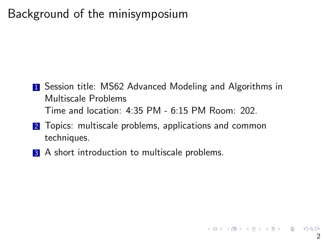# Background of the minisymposium

- **1** Session title: MS62 Advanced Modeling and Algorithms in Multiscale Problems Time and location: 4:35 PM - 6:15 PM Room: 202.
- 2 Topics: multiscale problems, applications and common techniques.
- **3** A short introduction to multiscale problems.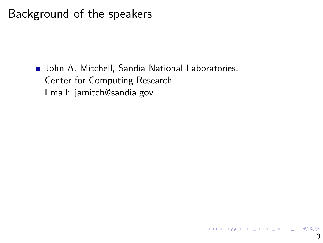**John A. Mitchell, Sandia National Laboratories.** Center for Computing Research Email: jamitch@sandia.gov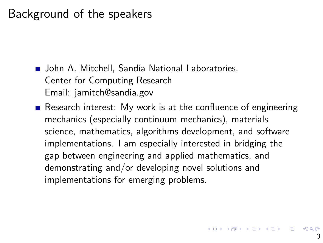**D.** John A. Mitchell, Sandia National Laboratories. Center for Computing Research Email: jamitch@sandia.gov

Research interest: My work is at the confluence of engineering mechanics (especially continuum mechanics), materials science, mathematics, algorithms development, and software implementations. I am especially interested in bridging the gap between engineering and applied mathematics, and demonstrating and/or developing novel solutions and implementations for emerging problems.

K ロ X (日) X (日) X (日) X (日) X (日) X (日) X (日) X (日) X (日) X (日) X (日) X (日)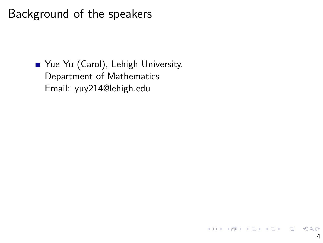■ Yue Yu (Carol), Lehigh University. Department of Mathematics Email: yuy214@lehigh.edu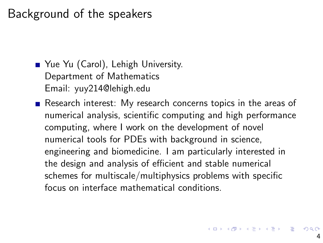■ Yue Yu (Carol), Lehigh University. Department of Mathematics Email: yuy214@lehigh.edu

Research interest: My research concerns topics in the areas of numerical analysis, scientific computing and high performance computing, where I work on the development of novel numerical tools for PDEs with background in science, engineering and biomedicine. I am particularly interested in the design and analysis of efficient and stable numerical schemes for multiscale/multiphysics problems with specific focus on interface mathematical conditions.

4 ロ X 4 団 X 4 ミ X 4 ミ X - ミ X 9 Q Q Q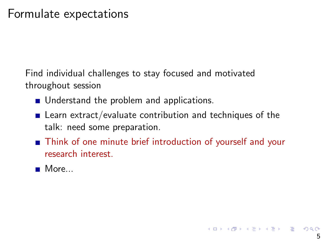Find individual challenges to stay focused and motivated throughout session

- **Understand the problem and applications.**
- **E** Learn extract/evaluate contribution and techniques of the talk: need some preparation.
- Think of one minute brief introduction of yourself and your research interest.
- More...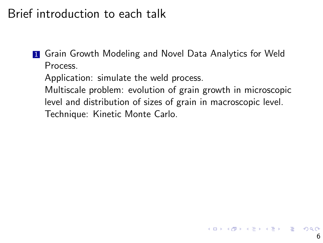## Brief introduction to each talk

**1** Grain Growth Modeling and Novel Data Analytics for Weld Process.

Application: simulate the weld process.

Multiscale problem: evolution of grain growth in microscopic level and distribution of sizes of grain in macroscopic level. Technique: Kinetic Monte Carlo.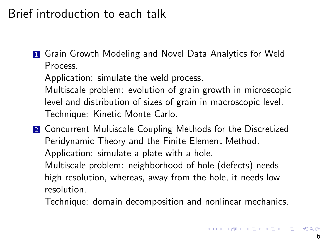## Brief introduction to each talk

**1** Grain Growth Modeling and Novel Data Analytics for Weld Process.

Application: simulate the weld process.

Multiscale problem: evolution of grain growth in microscopic level and distribution of sizes of grain in macroscopic level. Technique: Kinetic Monte Carlo.

2 Concurrent Multiscale Coupling Methods for the Discretized Peridynamic Theory and the Finite Element Method. Application: simulate a plate with a hole. Multiscale problem: neighborhood of hole (defects) needs high resolution, whereas, away from the hole, it needs low resolution.

Technique: domain decomposition and nonlinear mechanics.